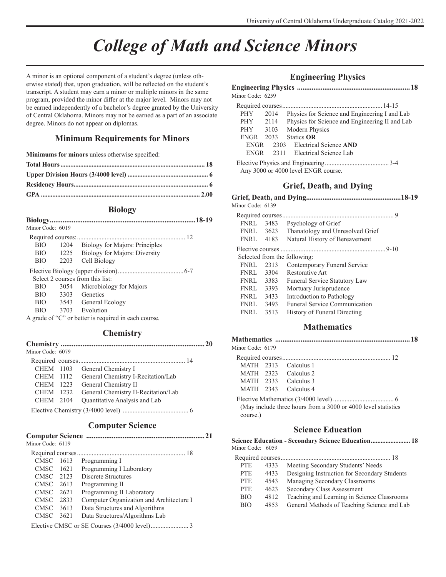## *College of Math and Science Minors*

A minor is an optional component of a student's degree (unless otherwise stated) that, upon graduation, will be reflected on the student's transcript. A student may earn a minor or multiple minors in the same program, provided the minor differ at the major level. Minors may not be earned independently of a bachelor's degree granted by the University of Central Oklahoma. Minors may not be earned as a part of an associate degree. Minors do not appear on diplomas.

#### **Minimum Requirements for Minors**

**Minimums for minors** unless otherwise specified:

### **Biology**

| .18-19 |
|--------|
|        |
|        |
|        |
|        |
|        |
|        |
|        |
|        |
|        |
|        |
|        |
|        |
|        |

## **Chemistry**

| Minor Code: 6079 |                                     |  |
|------------------|-------------------------------------|--|
|                  |                                     |  |
|                  | CHEM 1103 General Chemistry I       |  |
| CHEM 1112        | General Chemistry I-Recitation/Lab  |  |
| CHEM 1223        | General Chemistry II                |  |
| CHEM 1232        | General Chemistry II-Recitation/Lab |  |
| CHEM 2104        | Quantitative Analysis and Lab       |  |
|                  |                                     |  |

## **Computer Science**

| Minor Code: 6119 |                                          |  |
|------------------|------------------------------------------|--|
|                  |                                          |  |
| CMSC 1613        | Programming I                            |  |
| CMSC 1621        | Programming I Laboratory                 |  |
| CMSC 2123        | Discrete Structures                      |  |
| CMSC 2613        | Programming II                           |  |
| CMSC 2621        | Programming II Laboratory                |  |
| CMSC 2833        | Computer Organization and Architecture I |  |
| CMSC 3613        | Data Structures and Algorithms           |  |
| CMSC 3621        | Data Structures/Algorithms Lab           |  |
|                  |                                          |  |

#### **Engineering Physics**

| Minor Code: 6259 |           |                                                |
|------------------|-----------|------------------------------------------------|
|                  |           |                                                |
| <b>PHY</b>       | 2014      | Physics for Science and Engineering I and Lab  |
| PHY 2114         |           | Physics for Science and Engineering II and Lab |
| PHY 3103         |           | Modern Physics                                 |
|                  | ENGR 2033 | <b>Statics OR</b>                              |
| <b>ENGR</b>      |           | 2303 Electrical Science AND                    |
| <b>ENGR</b>      |           | 2311 Electrical Science Lab                    |
|                  |           | Any 3000 or 4000 level ENGR course.            |

## **Grief, Death, and Dying**

| Minor Code: 6139 |      |                                      |  |
|------------------|------|--------------------------------------|--|
|                  |      |                                      |  |
| FNRL             | 3483 | Psychology of Grief                  |  |
| <b>FNRL</b>      | 3623 | Thanatology and Unresolved Grief     |  |
| <b>FNRL</b> 4183 |      | Natural History of Bereavement       |  |
|                  |      |                                      |  |
|                  |      | Selected from the following:         |  |
| <b>FNRL</b>      | 2313 | Contemporary Funeral Service         |  |
| FNRL             | 3304 | Restorative Art                      |  |
| <b>FNRL</b> 3383 |      | Funeral Service Statutory Law        |  |
| FNRL             | 3393 | Mortuary Jurisprudence               |  |
| FNRL             | 3433 | Introduction to Pathology            |  |
| <b>FNRL</b>      | 3493 | <b>Funeral Service Communication</b> |  |
| <b>FNRL</b>      | 3513 | History of Funeral Directing         |  |
|                  |      |                                      |  |

## **Mathematics**

| Minor Code: 6179 |                                                               |  |
|------------------|---------------------------------------------------------------|--|
|                  |                                                               |  |
|                  | MATH 2313 Calculus 1                                          |  |
|                  | MATH 2323 Calculus 2                                          |  |
|                  | MATH 2333 Calculus 3                                          |  |
|                  | MATH 2343 Calculus 4                                          |  |
| course.)         | (May include three hours from a 3000 or 4000 level statistics |  |

## **Science Education**

| Minor Code: 6059 |      | Science Education - Secondary Science Education 18 |
|------------------|------|----------------------------------------------------|
|                  |      |                                                    |
| <b>PTE</b>       | 4333 | Meeting Secondary Students' Needs                  |
| <b>PTE</b>       | 4433 | Designing Instruction for Secondary Students       |
| <b>PTE</b>       | 4543 | Managing Secondary Classrooms                      |
| <b>PTE</b>       | 4623 | Secondary Class Assessment                         |
| <b>BIO</b>       | 4812 | Teaching and Learning in Science Classrooms        |
| <b>BIO</b>       | 4853 | General Methods of Teaching Science and Lab        |